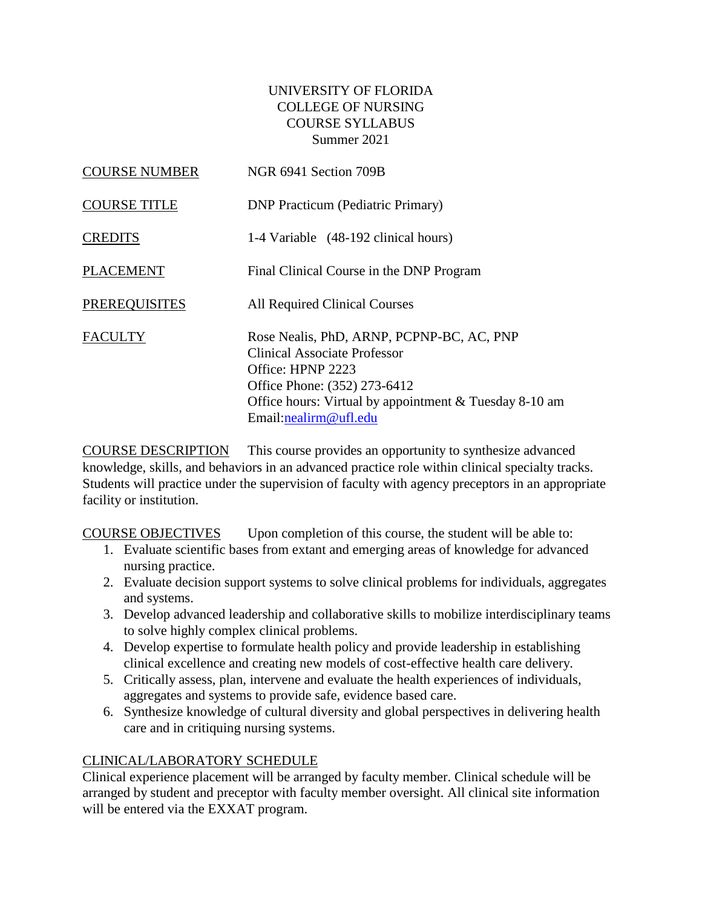## UNIVERSITY OF FLORIDA COLLEGE OF NURSING COURSE SYLLABUS Summer 2021

| <b>COURSE NUMBER</b> | NGR 6941 Section 709B                                                                                                                                                                                             |
|----------------------|-------------------------------------------------------------------------------------------------------------------------------------------------------------------------------------------------------------------|
| <b>COURSE TITLE</b>  | <b>DNP</b> Practicum (Pediatric Primary)                                                                                                                                                                          |
| <b>CREDITS</b>       | 1-4 Variable (48-192 clinical hours)                                                                                                                                                                              |
| <b>PLACEMENT</b>     | Final Clinical Course in the DNP Program                                                                                                                                                                          |
| <b>PREREQUISITES</b> | All Required Clinical Courses                                                                                                                                                                                     |
| <b>FACULTY</b>       | Rose Nealis, PhD, ARNP, PCPNP-BC, AC, PNP<br>Clinical Associate Professor<br>Office: HPNP 2223<br>Office Phone: (352) 273-6412<br>Office hours: Virtual by appointment & Tuesday 8-10 am<br>Email:nealirm@ufl.edu |

COURSE DESCRIPTION This course provides an opportunity to synthesize advanced knowledge, skills, and behaviors in an advanced practice role within clinical specialty tracks. Students will practice under the supervision of faculty with agency preceptors in an appropriate facility or institution.

COURSE OBJECTIVES Upon completion of this course, the student will be able to:

- 1. Evaluate scientific bases from extant and emerging areas of knowledge for advanced nursing practice.
- 2. Evaluate decision support systems to solve clinical problems for individuals, aggregates and systems.
- 3. Develop advanced leadership and collaborative skills to mobilize interdisciplinary teams to solve highly complex clinical problems.
- 4. Develop expertise to formulate health policy and provide leadership in establishing clinical excellence and creating new models of cost-effective health care delivery.
- 5. Critically assess, plan, intervene and evaluate the health experiences of individuals, aggregates and systems to provide safe, evidence based care.
- 6. Synthesize knowledge of cultural diversity and global perspectives in delivering health care and in critiquing nursing systems.

# CLINICAL/LABORATORY SCHEDULE

Clinical experience placement will be arranged by faculty member. Clinical schedule will be arranged by student and preceptor with faculty member oversight. All clinical site information will be entered via the EXXAT program.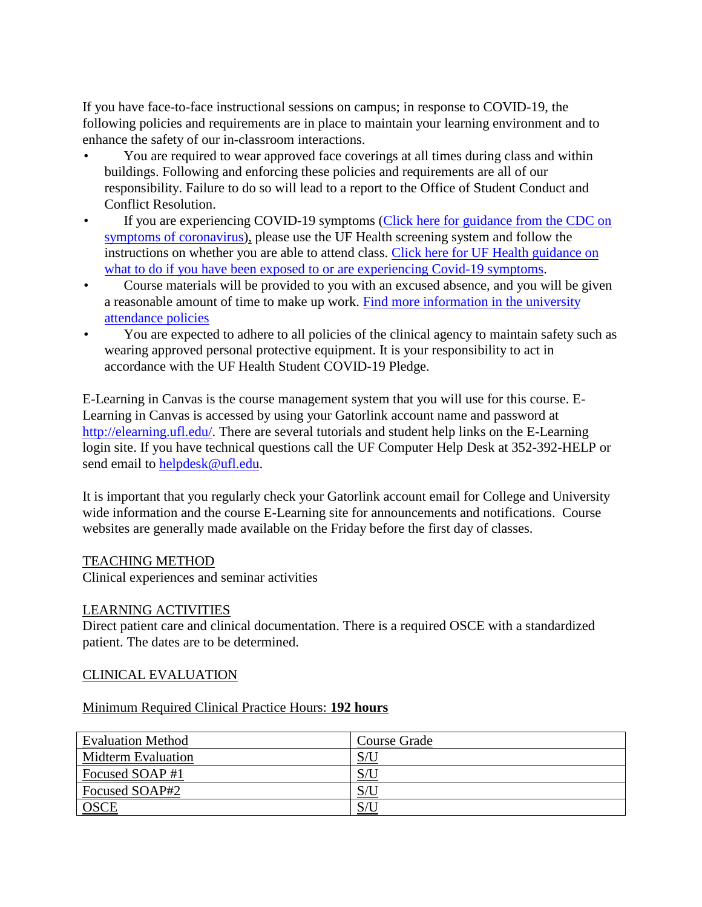If you have face-to-face instructional sessions on campus; in response to COVID-19, the following policies and requirements are in place to maintain your learning environment and to enhance the safety of our in-classroom interactions.

- You are required to wear approved face coverings at all times during class and within buildings. Following and enforcing these policies and requirements are all of our responsibility. Failure to do so will lead to a report to the Office of Student Conduct and Conflict Resolution.
- If you are experiencing COVID-19 symptoms (Click here for guidance from the CDC on [symptoms of coronavirus\)](https://www.cdc.gov/coronavirus/2019-ncov/symptoms-testing/symptoms.html), please use the UF Health screening system and follow the instructions on whether you are able to attend class. [Click here for UF Health guidance on](https://coronavirus.ufhealth.org/screen-test-protect/covid-19-exposure-and-symptoms-who-do-i-call-if/)  [what to do if you have been exposed to or are experiencing Covid-19 symptoms.](https://coronavirus.ufhealth.org/screen-test-protect/covid-19-exposure-and-symptoms-who-do-i-call-if/)
- Course materials will be provided to you with an excused absence, and you will be given a reasonable amount of time to make up work. [Find more information in the university](https://catalog.ufl.edu/UGRD/academic-regulations/attendance-policies/)  [attendance policies](https://catalog.ufl.edu/UGRD/academic-regulations/attendance-policies/)
- You are expected to adhere to all policies of the clinical agency to maintain safety such as wearing approved personal protective equipment. It is your responsibility to act in accordance with the UF Health Student COVID-19 Pledge.

E-Learning in Canvas is the course management system that you will use for this course. E-Learning in Canvas is accessed by using your Gatorlink account name and password at [http://elearning.ufl.edu/.](http://elearning.ufl.edu/) There are several tutorials and student help links on the E-Learning login site. If you have technical questions call the UF Computer Help Desk at 352-392-HELP or send email to [helpdesk@ufl.edu.](mailto:helpdesk@ufl.edu)

It is important that you regularly check your Gatorlink account email for College and University wide information and the course E-Learning site for announcements and notifications. Course websites are generally made available on the Friday before the first day of classes.

### TEACHING METHOD

Clinical experiences and seminar activities

### LEARNING ACTIVITIES

Direct patient care and clinical documentation. There is a required OSCE with a standardized patient. The dates are to be determined.

### CLINICAL EVALUATION

#### Minimum Required Clinical Practice Hours: **192 hours**

| <b>Evaluation Method</b>  | <b>Course Grade</b> |
|---------------------------|---------------------|
| <b>Midterm Evaluation</b> | S/U                 |
| Focused SOAP#1            | S/U                 |
| Focused SOAP#2            | S/U                 |
| <b>OSCE</b>               | S/U                 |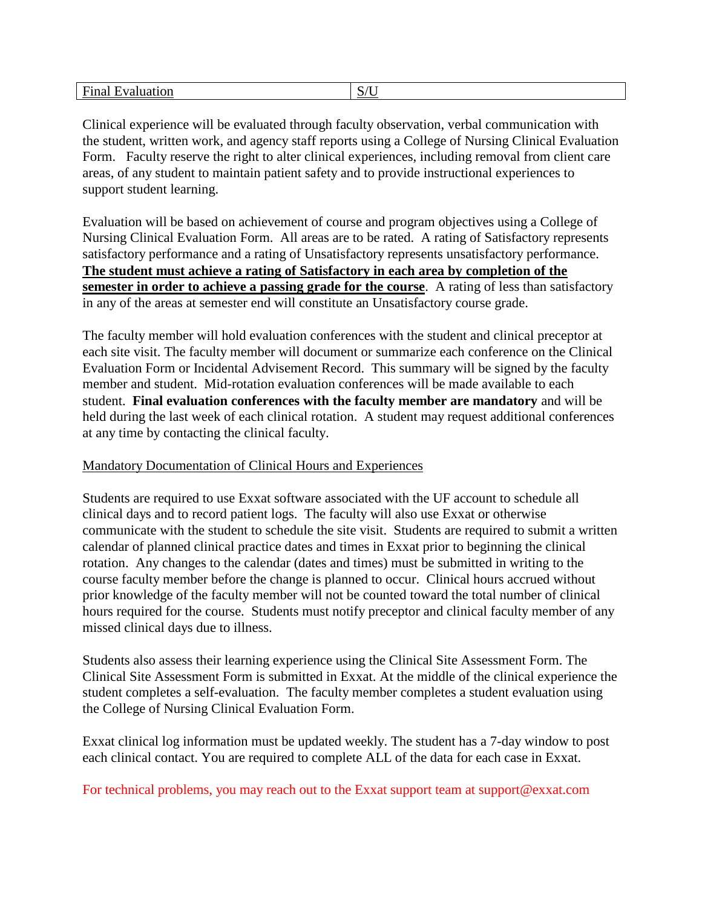| Final      | $/T$ 1 |
|------------|--------|
| Evaluation | D/U    |

Clinical experience will be evaluated through faculty observation, verbal communication with the student, written work, and agency staff reports using a College of Nursing Clinical Evaluation Form. Faculty reserve the right to alter clinical experiences, including removal from client care areas, of any student to maintain patient safety and to provide instructional experiences to support student learning.

Evaluation will be based on achievement of course and program objectives using a College of Nursing Clinical Evaluation Form. All areas are to be rated. A rating of Satisfactory represents satisfactory performance and a rating of Unsatisfactory represents unsatisfactory performance. **The student must achieve a rating of Satisfactory in each area by completion of the semester in order to achieve a passing grade for the course**. A rating of less than satisfactory in any of the areas at semester end will constitute an Unsatisfactory course grade.

The faculty member will hold evaluation conferences with the student and clinical preceptor at each site visit. The faculty member will document or summarize each conference on the Clinical Evaluation Form or Incidental Advisement Record. This summary will be signed by the faculty member and student. Mid-rotation evaluation conferences will be made available to each student. **Final evaluation conferences with the faculty member are mandatory** and will be held during the last week of each clinical rotation. A student may request additional conferences at any time by contacting the clinical faculty.

#### Mandatory Documentation of Clinical Hours and Experiences

Students are required to use Exxat software associated with the UF account to schedule all clinical days and to record patient logs. The faculty will also use Exxat or otherwise communicate with the student to schedule the site visit. Students are required to submit a written calendar of planned clinical practice dates and times in Exxat prior to beginning the clinical rotation. Any changes to the calendar (dates and times) must be submitted in writing to the course faculty member before the change is planned to occur. Clinical hours accrued without prior knowledge of the faculty member will not be counted toward the total number of clinical hours required for the course. Students must notify preceptor and clinical faculty member of any missed clinical days due to illness.

Students also assess their learning experience using the Clinical Site Assessment Form. The Clinical Site Assessment Form is submitted in Exxat. At the middle of the clinical experience the student completes a self-evaluation. The faculty member completes a student evaluation using the College of Nursing Clinical Evaluation Form.

Exxat clinical log information must be updated weekly. The student has a 7-day window to post each clinical contact. You are required to complete ALL of the data for each case in Exxat.

For technical problems, you may reach out to the Exxat support team at support@exxat.com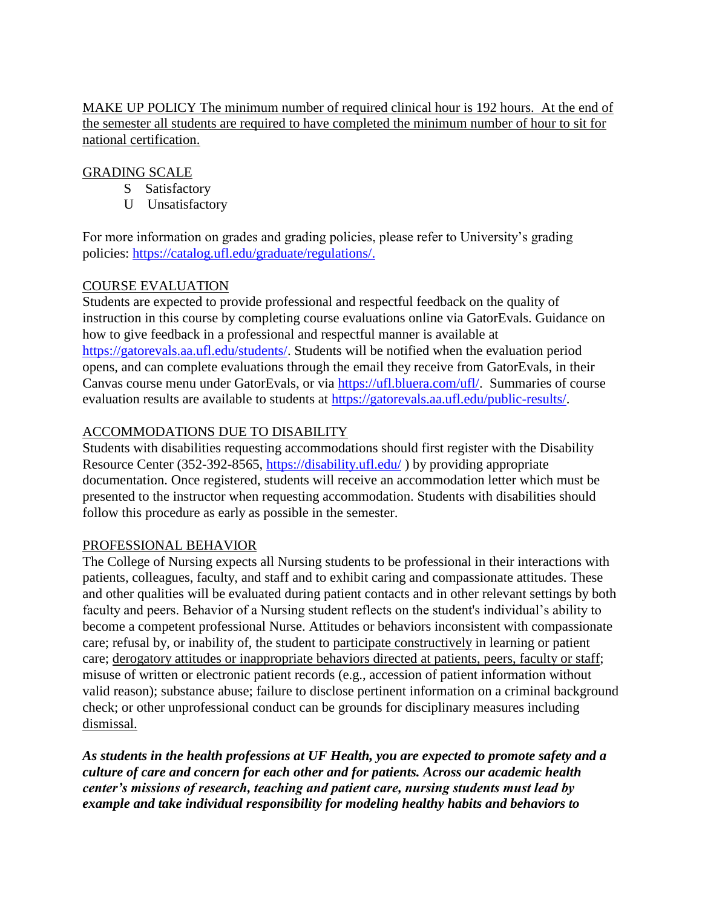MAKE UP POLICY The minimum number of required clinical hour is 192 hours. At the end of the semester all students are required to have completed the minimum number of hour to sit for national certification.

#### GRADING SCALE

- S Satisfactory
- U Unsatisfactory

For more information on grades and grading policies, please refer to University's grading policies: [https://catalog.ufl.edu/graduate/regulations/.](https://catalog.ufl.edu/graduate/regulations/)

### COURSE EVALUATION

Students are expected to provide professional and respectful feedback on the quality of instruction in this course by completing course evaluations online via GatorEvals. Guidance on how to give feedback in a professional and respectful manner is available at [https://gatorevals.aa.ufl.edu/students/.](https://gatorevals.aa.ufl.edu/students/) Students will be notified when the evaluation period opens, and can complete evaluations through the email they receive from GatorEvals, in their Canvas course menu under GatorEvals, or via [https://ufl.bluera.com/ufl/.](https://ufl.bluera.com/ufl/) Summaries of course evaluation results are available to students at [https://gatorevals.aa.ufl.edu/public-results/.](https://gatorevals.aa.ufl.edu/public-results/)

# ACCOMMODATIONS DUE TO DISABILITY

Students with disabilities requesting accommodations should first register with the Disability Resource Center (352-392-8565,<https://disability.ufl.edu/> ) by providing appropriate documentation. Once registered, students will receive an accommodation letter which must be presented to the instructor when requesting accommodation. Students with disabilities should follow this procedure as early as possible in the semester.

### PROFESSIONAL BEHAVIOR

The College of Nursing expects all Nursing students to be professional in their interactions with patients, colleagues, faculty, and staff and to exhibit caring and compassionate attitudes. These and other qualities will be evaluated during patient contacts and in other relevant settings by both faculty and peers. Behavior of a Nursing student reflects on the student's individual's ability to become a competent professional Nurse. Attitudes or behaviors inconsistent with compassionate care; refusal by, or inability of, the student to participate constructively in learning or patient care; derogatory attitudes or inappropriate behaviors directed at patients, peers, faculty or staff; misuse of written or electronic patient records (e.g., accession of patient information without valid reason); substance abuse; failure to disclose pertinent information on a criminal background check; or other unprofessional conduct can be grounds for disciplinary measures including dismissal.

*As students in the health professions at UF Health, you are expected to promote safety and a culture of care and concern for each other and for patients. Across our academic health center's missions of research, teaching and patient care, nursing students must lead by example and take individual responsibility for modeling healthy habits and behaviors to*